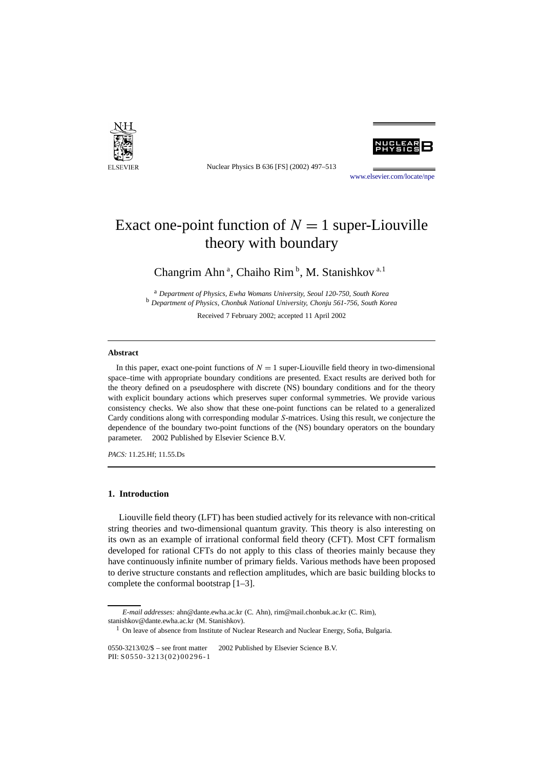

Nuclear Physics B 636 [FS] (2002) 497–513

[www.elsevier.com/locate/npe](http://www.elsevier.com/locate/npe)

# Exact one-point function of  $N = 1$  super-Liouville theory with boundary

Changrim Ahn<sup>a</sup>, Chaiho Rim<sup>b</sup>, M. Stanishkov<sup>a,1</sup>

<sup>a</sup> *Department of Physics, Ewha Womans University, Seoul 120-750, South Korea* <sup>b</sup> *Department of Physics, Chonbuk National University, Chonju 561-756, South Korea*

Received 7 February 2002; accepted 11 April 2002

### **Abstract**

In this paper, exact one-point functions of  $N = 1$  super-Liouville field theory in two-dimensional space–time with appropriate boundary conditions are presented. Exact results are derived both for the theory defined on a pseudosphere with discrete (NS) boundary conditions and for the theory with explicit boundary actions which preserves super conformal symmetries. We provide various consistency checks. We also show that these one-point functions can be related to a generalized Cardy conditions along with corresponding modular *S*-matrices. Using this result, we conjecture the dependence of the boundary two-point functions of the (NS) boundary operators on the boundary parameter.  $© 2002$  Published by Elsevier Science B.V.

*PACS:* 11.25.Hf; 11.55.Ds

# **1. Introduction**

Liouville field theory (LFT) has been studied actively for its relevance with non-critical string theories and two-dimensional quantum gravity. This theory is also interesting on its own as an example of irrational conformal field theory (CFT). Most CFT formalism developed for rational CFTs do not apply to this class of theories mainly because they have continuously infinite number of primary fields. Various methods have been proposed to derive structure constants and reflection amplitudes, which are basic building blocks to complete the conformal bootstrap [1–3].

*E-mail addresses:* ahn@dante.ewha.ac.kr (C. Ahn), rim@mail.chonbuk.ac.kr (C. Rim), stanishkov@dante.ewha.ac.kr (M. Stanishkov).

<sup>&</sup>lt;sup>1</sup> On leave of absence from Institute of Nuclear Research and Nuclear Energy, Sofia, Bulgaria.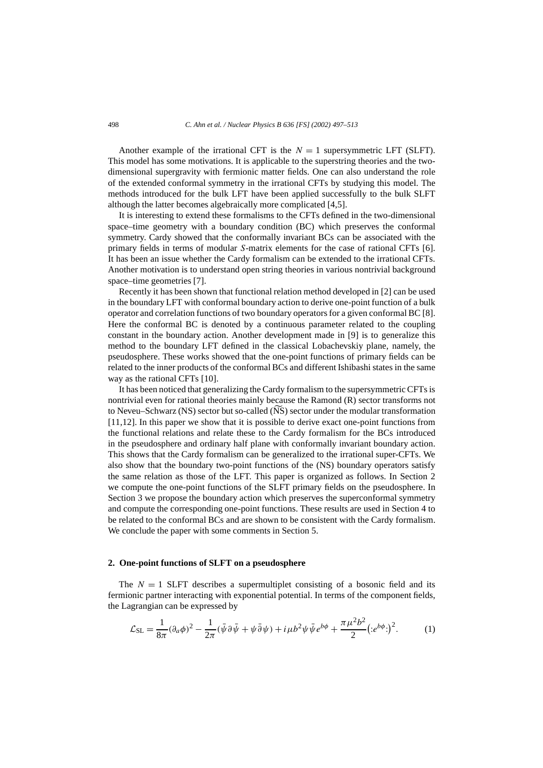Another example of the irrational CFT is the  $N = 1$  supersymmetric LFT (SLFT). This model has some motivations. It is applicable to the superstring theories and the twodimensional supergravity with fermionic matter fields. One can also understand the role of the extended conformal symmetry in the irrational CFTs by studying this model. The methods introduced for the bulk LFT have been applied successfully to the bulk SLFT although the latter becomes algebraically more complicated [4,5].

It is interesting to extend these formalisms to the CFTs defined in the two-dimensional space–time geometry with a boundary condition (BC) which preserves the conformal symmetry. Cardy showed that the conformally invariant BCs can be associated with the primary fields in terms of modular *S*-matrix elements for the case of rational CFTs [6]. It has been an issue whether the Cardy formalism can be extended to the irrational CFTs. Another motivation is to understand open string theories in various nontrivial background space–time geometries [7].

Recently it has been shown that functional relation method developed in [2] can be used in the boundary LFT with conformal boundary action to derive one-point function of a bulk operator and correlation functions of two boundary operators for a given conformal BC [8]. Here the conformal BC is denoted by a continuous parameter related to the coupling constant in the boundary action. Another development made in [9] is to generalize this method to the boundary LFT defined in the classical Lobachevskiy plane, namely, the pseudosphere. These works showed that the one-point functions of primary fields can be related to the inner products of the conformal BCs and different Ishibashi states in the same way as the rational CFTs [10].

It has been noticed that generalizing the Cardy formalism to the supersymmetric CFTs is nontrivial even for rational theories mainly because the Ramond (R) sector transforms not way as the rational CFTs [10].<br>It has been noticed that generalizing the Cardy formalism to the supersymmetric CFTs is<br>nontrivial even for rational theories mainly because the Ramond (R) sector transformation<br>to Neveu–Sch [11,12]. In this paper we show that it is possible to derive exact one-point functions from the functional relations and relate these to the Cardy formalism for the BCs introduced in the pseudosphere and ordinary half plane with conformally invariant boundary action. This shows that the Cardy formalism can be generalized to the irrational super-CFTs. We also show that the boundary two-point functions of the (NS) boundary operators satisfy the same relation as those of the LFT. This paper is organized as follows. In Section 2 we compute the one-point functions of the SLFT primary fields on the pseudosphere. In Section 3 we propose the boundary action which preserves the superconformal symmetry and compute the corresponding one-point functions. These results are used in Section 4 to be related to the conformal BCs and are shown to be consistent with the Cardy formalism. We conclude the paper with some comments in Section 5.

#### **2. One-point functions of SLFT on a pseudosphere**

The  $N = 1$  SLFT describes a supermultiplet consisting of a bosonic field and its fermionic partner interacting with exponential potential. In terms of the component fields, the Lagrangian can be expressed by

$$
\mathcal{L}_{\text{SL}} = \frac{1}{8\pi} (\partial_a \phi)^2 - \frac{1}{2\pi} (\bar{\psi} \partial \bar{\psi} + \psi \bar{\partial} \psi) + i \mu b^2 \psi \bar{\psi} e^{b\phi} + \frac{\pi \mu^2 b^2}{2} (e^{b\phi})^2. \tag{1}
$$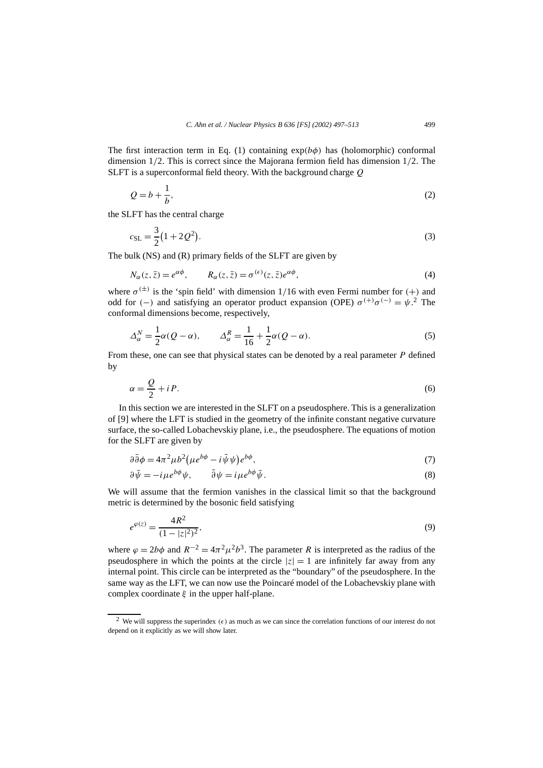The first interaction term in Eq. (1) containing  $exp(b\phi)$  has (holomorphic) conformal dimension 1*/*2. This is correct since the Majorana fermion field has dimension 1*/*2. The SLFT is a superconformal field theory. With the background charge *Q*

$$
Q = b + \frac{1}{b},\tag{2}
$$

the SLFT has the central charge

$$
Q = b + \frac{1}{b},
$$
  
(2)  
FT has the central charge  

$$
c_{\rm SL} = \frac{3}{2} (1 + 2Q^2).
$$
 (3)

The bulk (NS) and (R) primary fields of the SLFT are given by

$$
N_{\alpha}(z,\bar{z}) = e^{\alpha \phi}, \qquad R_{\alpha}(z,\bar{z}) = \sigma^{(\epsilon)}(z,\bar{z})e^{\alpha \phi}, \tag{4}
$$

where  $\sigma^{(\pm)}$  is the 'spin field' with dimension 1/16 with even Fermi number for (+) and odd for  $(-)$  and satisfying an operator product expansion (OPE)  $\sigma^{(+)}\sigma^{(-)} = \psi^2$ . The conformal dimensions become, respectively,

$$
\Delta_{\alpha}^{N} = \frac{1}{2}\alpha(Q - \alpha), \qquad \Delta_{\alpha}^{R} = \frac{1}{16} + \frac{1}{2}\alpha(Q - \alpha). \tag{5}
$$

From these, one can see that physical states can be denoted by a real parameter *P* defined by

$$
\alpha = \frac{Q}{2} + i P. \tag{6}
$$

In this section we are interested in the SLFT on a pseudosphere. This is a generalization of [9] where the LFT is studied in the geometry of the infinite constant negative curvature surface, the so-called Lobachevskiy plane, i.e., the pseudosphere. The equations of motion for the SLFT are given by where the LFT is studied in the geometry of the infinite constant negative curvature e, the so-called Lobachevskiy plane, i.e., the pseudosphere. The equations of motion  $\partial^2 \delta \phi = 4\pi^2 \mu b^2 (\mu e^{b\phi} - i \bar{\psi} \psi) e^{b\phi}$ , (7)

$$
\partial \bar{\partial} \phi = 4\pi^2 \mu b^2 (\mu e^{b\phi} - i \bar{\psi} \psi) e^{b\phi},\tag{7}
$$

$$
\partial \bar{\psi} = -i\mu e^{b\phi}\psi, \qquad \bar{\partial}\psi = i\mu e^{b\phi}\bar{\psi}.
$$
 (8)

We will assume that the fermion vanishes in the classical limit so that the background metric is determined by the bosonic field satisfying

$$
e^{\varphi(z)} = \frac{4R^2}{(1 - |z|^2)^2},\tag{9}
$$

where  $\varphi = 2b\phi$  and  $R^{-2} = 4\pi^2 \mu^2 b^3$ . The parameter *R* is interpreted as the radius of the pseudosphere in which the points at the circle  $|z| = 1$  are infinitely far away from any internal point. This circle can be interpreted as the "boundary" of the pseudosphere. In the same way as the LFT, we can now use the Poincaré model of the Lobachevskiy plane with complex coordinate *ξ* in the upper half-plane.

<sup>&</sup>lt;sup>2</sup> We will suppress the superindex  $(\epsilon)$  as much as we can since the correlation functions of our interest do not depend on it explicitly as we will show later.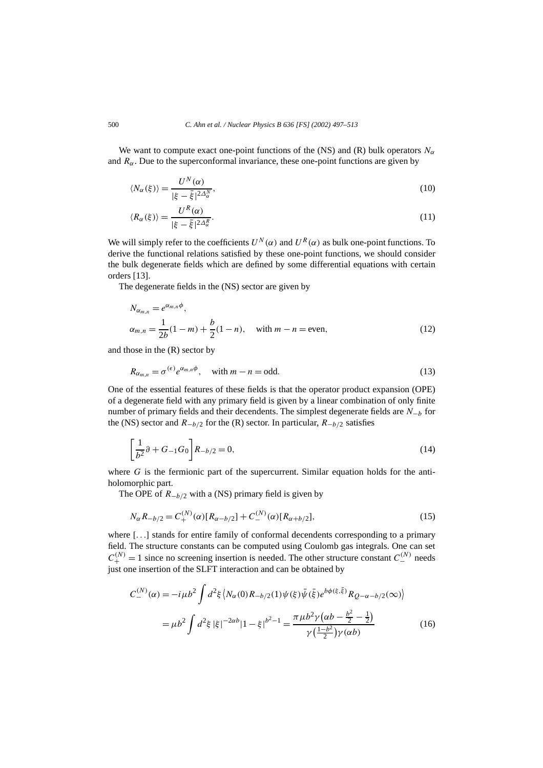We want to compute exact one-point functions of the (NS) and (R) bulk operators  $N_\alpha$ and  $R_\alpha$ . Due to the superconformal invariance, these one-point functions are given by

$$
\langle N_{\alpha}(\xi)\rangle = \frac{U^{N}(\alpha)}{|\xi - \bar{\xi}|^{2\Delta_{\alpha}^{N}}},\tag{10}
$$

$$
\langle R_{\alpha}(\xi)\rangle = \frac{U^{R}(\alpha)}{|\xi - \bar{\xi}|^{2\Delta_{\alpha}^{R}}}.\tag{11}
$$

We will simply refer to the coefficients  $U^N(\alpha)$  and  $U^R(\alpha)$  as bulk one-point functions. To derive the functional relations satisfied by these one-point functions, we should consider the bulk degenerate fields which are defined by some differential equations with certain orders [13].

The degenerate fields in the (NS) sector are given by

$$
N_{\alpha_{m,n}} = e^{\alpha_{m,n}\phi},
$$
  
\n
$$
\alpha_{m,n} = \frac{1}{2b}(1-m) + \frac{b}{2}(1-n), \text{ with } m-n = \text{even},
$$
\n(12)

and those in the (R) sector by

$$
R_{\alpha_{m,n}} = \sigma^{(\epsilon)} e^{\alpha_{m,n}\phi}, \quad \text{with } m - n = \text{odd.}
$$
 (13)

One of the essential features of these fields is that the operator product expansion (OPE) of a degenerate field with any primary field is given by a linear combination of only finite number of primary fields and their decendents. The simplest degenerate fields are *N*−*<sup>b</sup>* for the (NS) sector and *R*−*b/*<sup>2</sup> for the (R) sector. In particular, *R*−*b/*<sup>2</sup> satisfies egenerate field with any primary field is given by a linear combination of only finite<br>er of primary fields and their decendents. The simplest degenerate fields are  $N_{-b}$  for<br>(S) sector and  $R_{-b/2}$  for the (R) sector.

$$
\left[\frac{1}{b^2}\partial + G_{-1}G_0\right]R_{-b/2} = 0,\tag{14}
$$

where *G* is the fermionic part of the supercurrent. Similar equation holds for the antiholomorphic part.

The OPE of *R*−*b/*<sup>2</sup> with a (NS) primary field is given by

$$
N_{\alpha}R_{-b/2} = C_{+}^{(N)}(\alpha)[R_{\alpha - b/2}] + C_{-}^{(N)}(\alpha)[R_{\alpha + b/2}],
$$
\n(15)

where [...] stands for entire family of conformal decendents corresponding to a primary field. The structure constants can be computed using Coulomb gas integrals. One can set  $C^{(N)}_+ = 1$  since no screening insertion is needed. The other structure constant  $C^{(N)}_-$  needs just one insertion of the SLFT interaction and can be obtained by -

$$
C_{-}^{(N)}(\alpha) = -i\mu b^{2} \int d^{2}\xi \left\langle N_{\alpha}(0)R_{-b/2}(1)\psi(\xi)\bar{\psi}(\bar{\xi})e^{b\phi(\xi,\bar{\xi})}R_{Q-\alpha-b/2}(\infty)\right\rangle
$$
  

$$
= \mu b^{2} \int d^{2}\xi |\xi|^{-2\alpha b}|1-\xi|^{b^{2}-1} = \frac{\pi \mu b^{2} \gamma (\alpha b - \frac{b^{2}}{2} - \frac{1}{2})}{\gamma(\frac{1-b^{2}}{2})\gamma(\alpha b)} \qquad (16)
$$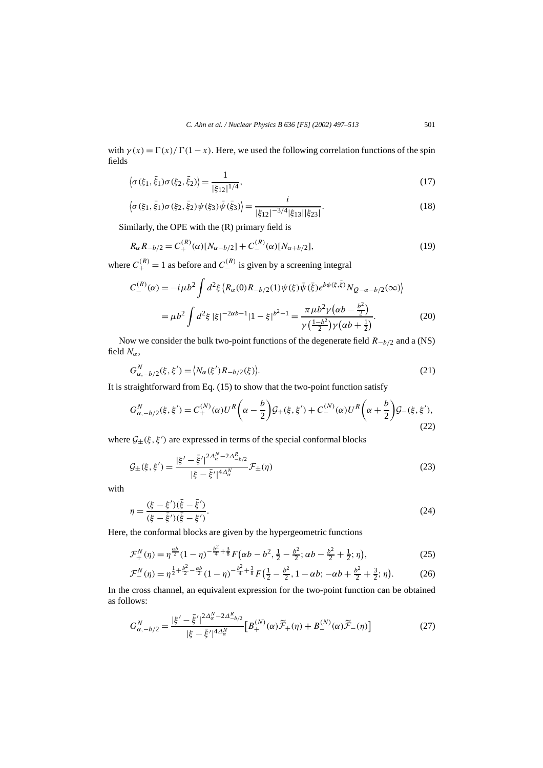with  $\gamma(x) = \Gamma(x)/\Gamma(1-x)$ . Here, we used the following correlation functions of the spin fields  $\gamma(x) = \Gamma(x)/\Gamma(1-x)$ . Here, we used the following correlation functions of the spin<br>  $\langle \sigma(\xi_1, \bar{\xi}_1) \sigma(\xi_2, \bar{\xi}_2) \rangle = \frac{1}{15 - 1144}$ , (17)

$$
\langle \sigma(\xi_1, \bar{\xi}_1) \sigma(\xi_2, \bar{\xi}_2) \rangle = \frac{1}{|\xi_{12}|^{1/4}},
$$
\n
$$
\langle \sigma(\xi_1, \bar{\xi}_1) \sigma(\xi_2, \bar{\xi}_2) \psi(\xi_3) \bar{\psi}(\bar{\xi}_3) \rangle = \frac{i}{\sqrt{1 - \frac{1}{2} \cdot \left(\frac{1}{2} \cdot \frac{1}{2} \cdot \frac{1}{2} \cdot \frac{1}{2} \cdot \frac{1}{2} \cdot \frac{1}{2} \cdot \frac{1}{2} \cdot \frac{1}{2} \cdot \frac{1}{2} \cdot \frac{1}{2} \cdot \frac{1}{2} \cdot \frac{1}{2} \cdot \frac{1}{2} \cdot \frac{1}{2} \cdot \frac{1}{2} \cdot \frac{1}{2} \cdot \frac{1}{2} \cdot \frac{1}{2} \cdot \frac{1}{2} \cdot \frac{1}{2} \cdot \frac{1}{2} \cdot \frac{1}{2} \cdot \frac{1}{2} \cdot \frac{1}{2} \cdot \frac{1}{2} \cdot \frac{1}{2} \cdot \frac{1}{2} \cdot \frac{1}{2} \cdot \frac{1}{2} \cdot \frac{1}{2} \cdot \frac{1}{2} \cdot \frac{1}{2} \cdot \frac{1}{2} \cdot \frac{1}{2} \cdot \frac{1}{2} \cdot \frac{1}{2} \cdot \frac{1}{2} \cdot \frac{1}{2} \cdot \frac{1}{2} \cdot \frac{1}{2} \cdot \frac{1}{2} \cdot \frac{1}{2} \cdot \frac{1}{2} \cdot \frac{1}{2} \cdot \frac{1}{2} \cdot \frac{1}{2} \cdot \frac{1}{2} \cdot \frac{1}{2} \cdot \frac{1}{2} \cdot \frac{1}{2} \cdot \frac{1}{2} \cdot \frac{1}{2} \cdot \frac{1}{2} \cdot \frac{1}{2} \cdot \frac{1}{2} \cdot \frac{1}{2} \cdot \frac{1}{2} \cdot \frac{1}{2} \cdot \frac{1}{2} \cdot \frac{1}{2} \cdot \frac{1}{2} \cdot \frac{1}{2} \cdot \frac{1}{2} \cdot \frac{1}{2} \cdot \frac{1}{2} \cdot \frac{1}{2} \cdot \frac{1}{2} \cdot \frac{1}{2} \cdot \frac{1}{2} \cdot \frac{1}{2} \cdot
$$

$$
\langle \sigma(\xi_1, \bar{\xi}_1) \sigma(\xi_2, \bar{\xi}_2) \psi(\xi_3) \bar{\psi}(\bar{\xi}_3) \rangle = \frac{i}{|\xi_{12}|^{-3/4} |\xi_{13}| |\xi_{23}|}. \tag{18}
$$

Similarly, the OPE with the (R) primary field is

$$
R_{\alpha}R_{-b/2} = C_{+}^{(R)}(\alpha)[N_{\alpha - b/2}] + C_{-}^{(R)}(\alpha)[N_{\alpha + b/2}],
$$
\n(19)

where  $C_{+}^{(R)} = 1$  as before and  $C_{-}^{(R)}$  is given by a screening integral

$$
C_{-}^{(R)}(\alpha) = -i\mu b^{2} \int d^{2}\xi \left\langle R_{\alpha}(0)R_{-b/2}(1)\psi(\xi)\bar{\psi}(\bar{\xi})e^{b\phi(\xi,\bar{\xi})}N_{Q-\alpha-b/2}(\infty)\right\rangle
$$
  

$$
= \mu b^{2} \int d^{2}\xi |\xi|^{-2\alpha b-1} |1-\xi|^{b^{2}-1} = \frac{\pi \mu b^{2} \gamma (\alpha b - \frac{b^{2}}{2})}{\gamma(\frac{1-b^{2}}{2})\gamma(\alpha b + \frac{1}{2})}.
$$
 (20)

Now we consider the bulk two-point functions of the degenerate field *R*−*b/*<sup>2</sup> and a (NS) field  $N_\alpha$ , *f* the bulk two-point for  $\mathbf{f}$ <br>  $\mathbf{f} = \langle N_{\alpha}(\xi') R_{-b/2}(\xi) \rangle$ 

$$
G_{\alpha,-b/2}^N(\xi,\xi') = \langle N_{\alpha}(\xi')R_{-b/2}(\xi) \rangle.
$$
\n(21)

It is straightforward from Eq. (15) to show that the two-point function satisfy

$$
G_{\alpha,-b/2}^{N}(\xi,\xi') = C_{+}^{(N)}(\alpha)U^{R}\left(\alpha - \frac{b}{2}\right) \mathcal{G}_{+}(\xi,\xi') + C_{-}^{(N)}(\alpha)U^{R}\left(\alpha + \frac{b}{2}\right) \mathcal{G}_{-}(\xi,\xi'),
$$
\n(22)

where  $G_{\pm}(\xi, \xi')$  are expressed in terms of the special conformal blocks

$$
\mathcal{G}_{\pm}(\xi, \xi') = \frac{|\xi' - \bar{\xi}'|^{2\Delta_{\alpha}^N - 2\Delta_{-\bar{\beta}/2}^R}}{|\xi - \bar{\xi}'|^{4\Delta_{\alpha}^N}} \mathcal{F}_{\pm}(\eta)
$$
\n(23)

with

$$
\eta = \frac{(\xi - \xi')(\bar{\xi} - \bar{\xi}')}{(\xi - \bar{\xi}')(\bar{\xi} - \xi')}.
$$
\n(24)

Here, the conformal blocks are given by the hypergeometric functions -

$$
\mathcal{F}_{+}^{N}(\eta) = \eta^{\frac{ab}{2}} (1 - \eta)^{-\frac{b^2}{4} + \frac{3}{8}} F\left(\alpha b - b^2, \frac{1}{2} - \frac{b^2}{2}; \alpha b - \frac{b^2}{2} + \frac{1}{2}; \eta\right),\tag{25}
$$

$$
\mathcal{F}^{N}_{-}(\eta) = \eta^{\frac{1}{2} + \frac{b^2}{2} - \frac{\alpha b}{2}} (1 - \eta)^{-\frac{b^2}{4} + \frac{3}{8}} F\left(\frac{1}{2} - \frac{b^2}{2}, 1 - \alpha b; -\alpha b + \frac{b^2}{2} + \frac{3}{2}; \eta\right). \tag{26}
$$

as follows:

In the cross channel, an equivalent expression for the two-point function can be obtained  
as follows:  

$$
G_{\alpha,-b/2}^{N} = \frac{|\xi' - \bar{\xi}'|^{2\Delta_{\alpha}^{N} - 2\Delta_{-b/2}^{R}}}{|\xi - \bar{\xi}'|^{4\Delta_{\alpha}^{N}}} \Big[B_{+}^{(N)}(\alpha)\widetilde{\mathcal{F}}_{+}(\eta) + B_{-}^{(N)}(\alpha)\widetilde{\mathcal{F}}_{-}(\eta)\Big]
$$
(27)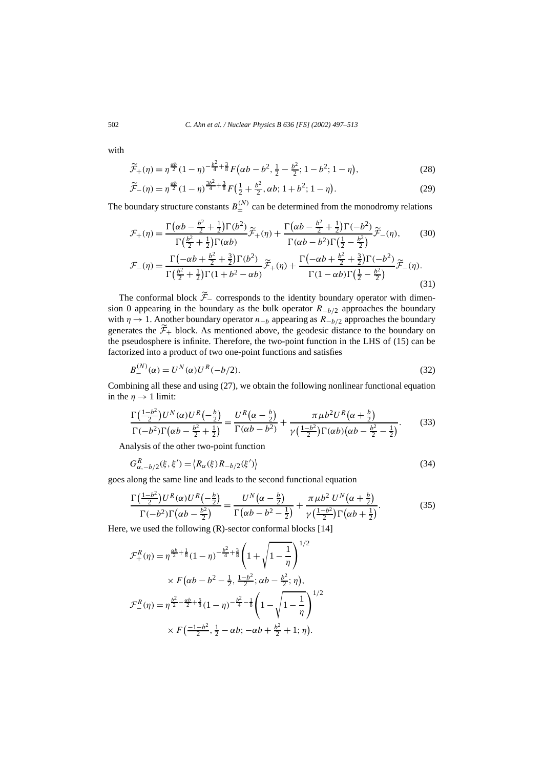with

$$
\widetilde{\mathcal{F}}_{+}(\eta) = \eta^{\frac{\alpha b}{2}} (1 - \eta)^{-\frac{b^2}{4} + \frac{3}{8}} F\left(\alpha b - b^2, \frac{1}{2} - \frac{b^2}{2}; 1 - b^2; 1 - \eta\right),\tag{28}
$$

$$
\widetilde{\mathcal{F}}_{-}(\eta) = \eta^{\frac{\alpha b}{2}} (1 - \eta)^{\frac{3b^2}{4} + \frac{3}{8}} F\left(\frac{1}{2} + \frac{b^2}{2}, \alpha b; 1 + b^2; 1 - \eta\right). \tag{29}
$$

The boundary structure constants 
$$
B_{\pm}^{(N)}
$$
 can be determined from the monodromy relations  
\n
$$
\mathcal{F}_{+}(\eta) = \frac{\Gamma(\alpha b - \frac{b^2}{2} + \frac{1}{2})\Gamma(b^2)}{\Gamma(\frac{b^2}{2} + \frac{1}{2})\Gamma(\alpha b)}\widetilde{\mathcal{F}}_{+}(\eta) + \frac{\Gamma(\alpha b - \frac{b^2}{2} + \frac{1}{2})\Gamma(-b^2)}{\Gamma(\alpha b - b^2)\Gamma(\frac{1}{2} - \frac{b^2}{2})}\widetilde{\mathcal{F}}_{-}(\eta), \qquad (30)
$$

$$
\mathcal{F}_{+}(\eta) = \frac{\Gamma(\frac{b^{2}}{2} + \frac{1}{2})\Gamma(\alpha b)}{\Gamma(\frac{b^{2}}{2} + \frac{1}{2})\Gamma(\alpha b)} \mathcal{F}_{+}(\eta) + \frac{\Gamma(\alpha b - b^{2})\Gamma(\frac{1}{2} - \frac{b^{2}}{2})}{\Gamma(\alpha b - b^{2})\Gamma(\frac{1}{2} - \frac{b^{2}}{2})} \mathcal{F}_{-}(\eta), \qquad (30)
$$
  

$$
\mathcal{F}_{-}(\eta) = \frac{\Gamma(-\alpha b + \frac{b^{2}}{2} + \frac{3}{2})\Gamma(b^{2})}{\Gamma(\frac{b^{2}}{2} + \frac{1}{2})\Gamma(1 + b^{2} - \alpha b)} \mathcal{F}_{+}(\eta) + \frac{\Gamma(-\alpha b + \frac{b^{2}}{2} + \frac{3}{2})\Gamma(-b^{2})}{\Gamma(1 - \alpha b)\Gamma(\frac{1}{2} - \frac{b^{2}}{2})} \mathcal{F}_{-}(\eta).
$$
 (31)

The conformal block  $\widetilde{\mathcal{F}}_{-}$  corresponds to the identity boundary operator with dimension 0 appearing in the boundary as the bulk operator  $R$ <sup>*-b*/2</sup> approaches the boundary with  $\eta \rightarrow 1$ . Another boundary operator  $n_{-b}$  appearing as  $R_{-b/2}$  approaches the boundary generates the  $\mathcal{F}_+$  block. As mentioned above, the geodesic distance to the boundary on the pseudosphere is infinite. Therefore, the two-point function in the LHS of (15) can be factorized into a product of two one-point functions and satisfies

$$
B_{-}^{(N)}(\alpha) = U^{N}(\alpha)U^{R}(-b/2).
$$
\n(32)

Combining all these and using (27), we obtain the following nonlinear functional equation *u*<sub>*C*</sub> *(α)U*<br>these and us<br>mit:<br> $U^N(\alpha)U^R$  (  $\overline{\phantom{a}}$ Dhowing hominear functiona

Combining all these and using (27), we obtain the following nonlinear functional equation  
\nin the 
$$
\eta \to 1
$$
 limit:  
\n
$$
\frac{\Gamma(\frac{1-b^2}{2})U^N(\alpha)U^R(-\frac{b}{2})}{\Gamma(-b^2)\Gamma(\alpha b - \frac{b^2}{2} + \frac{1}{2})} = \frac{U^R(\alpha - \frac{b}{2})}{\Gamma(\alpha b - b^2)} + \frac{\pi \mu b^2 U^R(\alpha + \frac{b}{2})}{\gamma(\frac{1-b^2}{2})\Gamma(\alpha b)(\alpha b - \frac{b^2}{2} - \frac{1}{2})}.
$$
\n(33)  
\nAnalysis of the other two-point function  
\n
$$
G_{\alpha, -b/2}^R(\xi, \xi') = \langle R_{\alpha}(\xi)R_{-b/2}(\xi') \rangle
$$

Analysis of the other two-point function

$$
G_{\alpha,-b/2}^{R}(\xi,\xi') = \langle R_{\alpha}(\xi)R_{-b/2}(\xi') \rangle
$$
\n(34)  
along the same line and leads to the second functional equation  

$$
\Gamma\left(\frac{1-b^2}{2}\right)U^R(\alpha)U^R\left(-\frac{b}{2}\right) \qquad U^N(\alpha-\frac{b}{2}) \qquad \pi \mu b^2 U^N(\alpha+\frac{b}{2})
$$

goes along the same line and leads to the second functional equation

$$
G_{\alpha,-b/2}^{R}(\xi,\xi') = \langle R_{\alpha}(\xi)R_{-b/2}(\xi') \rangle
$$
\n(34)  
\nlong the same line and leads to the second functional equation  
\n
$$
\frac{\Gamma(\frac{1-b^2}{2})U^R(\alpha)U^R(-\frac{b}{2})}{\Gamma(-b^2)\Gamma(\alpha b - \frac{b^2}{2})} = \frac{U^N(\alpha - \frac{b}{2})}{\Gamma(\alpha b - b^2 - \frac{1}{2})} + \frac{\pi\mu b^2 U^N(\alpha + \frac{b}{2})}{\gamma(\frac{1-b^2}{2})\Gamma(\alpha b + \frac{1}{2})}.
$$

Here, we used the following (R)-sector conformal blocks [14]

$$
\mathcal{F}_{+}^{R}(\eta) = \eta^{\frac{\alpha b}{2} + \frac{1}{8}} (1 - \eta)^{-\frac{b^{2}}{4} + \frac{3}{8}} \left( 1 + \sqrt{1 - \frac{1}{\eta}} \right)^{1/2}
$$

$$
\times F(\alpha b - b^{2} - \frac{1}{2}, \frac{1 - b^{2}}{2}; \alpha b - \frac{b^{2}}{2}; \eta),
$$

$$
\mathcal{F}_{-}^{R}(\eta) = \eta^{\frac{b^{2}}{2} - \frac{\alpha b}{2} + \frac{5}{8}} (1 - \eta)^{-\frac{b^{2}}{4} - \frac{1}{8}} \left( 1 - \sqrt{1 - \frac{1}{\eta}} \right)^{1/2}
$$

$$
\times F(\frac{-1 - b^{2}}{2}, \frac{1}{2} - \alpha b; -\alpha b + \frac{b^{2}}{2} + 1; \eta).
$$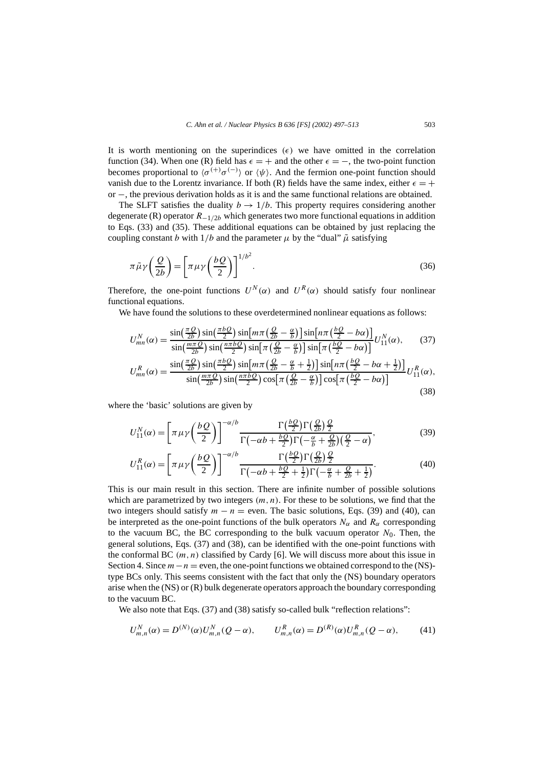It is worth mentioning on the superindices  $(\epsilon)$  we have omitted in the correlation function (34). When one (R) field has  $\epsilon = +$  and the other  $\epsilon = -$ , the two-point function becomes proportional to  $\langle \sigma^{(+)} \sigma^{(-)} \rangle$  or  $\langle \psi \rangle$ . And the fermion one-point function should vanish due to the Lorentz invariance. If both (R) fields have the same index, either  $\epsilon = +$ or −, the previous derivation holds as it is and the same functional relations are obtained.

The SLFT satisfies the duality  $b \rightarrow 1/b$ . This property requires considering another degenerate  $(R)$  operator  $R_{-1/2b}$  which generates two more functional equations in addition degenerate (**K**) operator  $K=1/2b$  which generates two more functional equations in addition<br>to Eqs. (33) and (35). These additional equations can be obtained by just replacing the<br>coupling constant b with  $1/b$  and the pa coupling constant *b* with  $1/b$  and the parameter  $\mu$  by the "dual"  $\tilde{\mu}$  satisfying

$$
\pi \tilde{\mu}\gamma \left(\frac{Q}{2b}\right) = \left[\pi \mu \gamma \left(\frac{bQ}{2}\right)\right]^{1/b^2}.
$$
\n(36)

Therefore, the one-point functions  $U^N(\alpha)$  and  $U^R(\alpha)$  should satisfy four nonlinear functional equations. functions  $U^N(\alpha)$  and  $U^N(\alpha)$  should satisfy<br>itions to these overdetermined nonlinear equations<br> $sin(\frac{\pi bQ}{2})sin[m\pi(\frac{Q}{2b} - \frac{\alpha}{b})]sin[n\pi(\frac{bQ}{2} - b\alpha)]$ 

We have found the solutions to these overdetermined nonlinear equations as follows:

fore, the one-point functions 
$$
U^N(\alpha)
$$
 and  $U^N(\alpha)$  should satisfy four nonlinear  
onal equations.  
\n: have found the solutions to these overdetermined nonlinear equations as follows:  
\n
$$
U_{mn}^N(\alpha) = \frac{\sin(\frac{\pi Q}{2b})\sin(\frac{\pi bQ}{2})\sin[m\pi(\frac{Q}{2b} - \frac{\alpha}{b})]\sin[n\pi(\frac{bQ}{2} - b\alpha)]}{\sin(\frac{m\pi Q}{2b})\sin(\frac{n\pi bQ}{2})\sin[\pi(\frac{Q}{2b} - \frac{\alpha}{b})]\sin[\pi(\frac{bQ}{2} - b\alpha)]}U_{11}^N(\alpha),
$$
\n(37)  
\n
$$
U_{mn}^R(\alpha) = \frac{\sin(\frac{\pi Q}{2b})\sin(\frac{\pi bQ}{2})\sin[m\pi(\frac{Q}{2b} - \frac{\alpha}{b} + \frac{1}{2})]\sin[n\pi(\frac{bQ}{2} - b\alpha + \frac{1}{2})]}{\sin(m\pi(\frac{2b}{2b})(\frac{\pi a}{b})(\frac{\pi bQ}{2})\sin(\frac{n\pi bQ}{2})\cos[-(\frac{Q}{2} - \frac{\alpha}{b})(\frac{\pi aQ}{2b})(\frac{bQ}{2b})(\frac{bQ}{2b})(\frac{bQ}{2b})(\frac{bQ}{2b})(\frac{bQ}{2b})(\frac{bQ}{2b})(\frac{bQ}{2b})(\frac{bQ}{2b})(\frac{bQ}{2b})(\frac{bQ}{2b})(\frac{bQ}{2b})(\frac{bQ}{2b})(\frac{bQ}{2b})(\frac{bQ}{2b})(\frac{bQ}{2b})(\frac{bQ}{2b})(\frac{bQ}{2b})(\frac{bQ}{2b})(\frac{bQ}{2b})(\frac{bQ}{2b})(\frac{bQ}{2b})(\frac{bQ}{2b})(\frac{bQ}{2b})(\frac{bQ}{2b})(\frac{bQ}{2b})(\frac{bQ}{2b})(\frac{bQ}{2b})(\frac{bQ}{2b})(\frac{bQ}{2b})(\frac{bQ}{2b})(\frac{bQ}{2b})(\frac{bQ}{2b})(\frac{bQ}{2b})(\frac{bQ}{2b})(\frac{bQ}{2b})(\frac{bQ}{2b})(\frac{bQ}{2b})(\frac{bQ}{2b})(\frac{bQ}{2b})(\frac{bQ}{2b})(\frac{bQ}{2b})(\frac{bQ}{2b
$$

$$
U_{mn}^{N}(\alpha) = \frac{\sin(\frac{2b}{2b})\sin(\frac{n\pi bQ}{2})\sin[n\pi(\frac{Q}{2b}-\frac{\alpha}{b})]\sin[n\pi(\frac{Q}{2}-\alpha)]}{\sin(\frac{\pi bQ}{2b})\sin[\pi(\frac{Q}{2b}-\frac{\alpha}{b})]\sin[\pi(\frac{bQ}{2}-b\alpha)]}U_{11}^{N}(\alpha), \qquad (37)
$$

$$
U_{mn}^{R}(\alpha) = \frac{\sin(\frac{\pi Q}{2b})\sin(\frac{\pi bQ}{2})\sin[m\pi(\frac{Q}{2b}-\frac{\alpha}{b}+\frac{1}{2})]\sin[n\pi(\frac{bQ}{2}-b\alpha+\frac{1}{2})]}{\sin(\frac{m\pi Q}{2b})\sin(\frac{n\pi bQ}{2})\cos[\pi(\frac{Q}{2b}-\frac{\alpha}{b})]\cos[\pi(\frac{bQ}{2}-b\alpha)]}U_{11}^{R}(\alpha), \qquad (38)
$$

where the 'basic' solutions are given by -

(38)  
\nthe 'basic' solutions are given by  
\n
$$
U_{11}^{N}(\alpha) = \left[\pi \mu \gamma \left(\frac{bQ}{2}\right)\right]^{-\alpha/b} \frac{\Gamma\left(\frac{bQ}{2}\right) \Gamma\left(\frac{Q}{2b}\right) \frac{Q}{2}}{\Gamma\left(-\alpha b + \frac{bQ}{2}\right) \Gamma\left(-\frac{\alpha}{b} + \frac{Q}{2b}\right) \left(\frac{Q}{2} - \alpha\right)},
$$
\n
$$
U_{11}^{R}(\alpha) = \left[\pi \mu \gamma \left(\frac{bQ}{2}\right)\right]^{-\alpha/b} \frac{\Gamma\left(\frac{bQ}{2}\right) \Gamma\left(\frac{Q}{2b}\right) \frac{Q}{2}}{\Gamma\left(-\frac{\alpha}{b} + \frac{Q}{2b}\right) \Gamma\left(\frac{Q}{2b}\right) \frac{Q}{2}}.
$$
\n(40)

$$
U_{11}^{R}(\alpha) = \left[\pi \mu \gamma \left(\frac{bQ}{2}\right)\right]^{-\alpha/b} \frac{\Gamma\left(\frac{bQ}{2}\right) \Gamma\left(\frac{Q}{2b}\right) \frac{Q}{2}}{\Gamma\left(-\alpha b + \frac{bQ}{2} + \frac{1}{2}\right) \Gamma\left(-\frac{\alpha}{b} + \frac{Q}{2b} + \frac{1}{2}\right)}.
$$
(40)

This is our main result in this section. There are infinite number of possible solutions which are parametrized by two integers  $(m, n)$ . For these to be solutions, we find that the two integers should satisfy  $m - n =$  even. The basic solutions, Eqs. (39) and (40), can be interpreted as the one-point functions of the bulk operators  $N_\alpha$  and  $R_\alpha$  corresponding to the vacuum BC, the BC corresponding to the bulk vacuum operator  $N_0$ . Then, the general solutions, Eqs. (37) and (38), can be identified with the one-point functions with the conformal BC  $(m, n)$  classified by Cardy [6]. We will discuss more about this issue in Section 4. Since  $m - n =$  even, the one-point functions we obtained correspond to the (NS)type BCs only. This seems consistent with the fact that only the (NS) boundary operators arise when the (NS) or (R) bulk degenerate operators approach the boundary corresponding to the vacuum BC.

We also note that Eqs. (37) and (38) satisfy so-called bulk "reflection relations":

$$
U_{m,n}^{N}(\alpha) = D^{(N)}(\alpha)U_{m,n}^{N}(Q - \alpha), \qquad U_{m,n}^{R}(\alpha) = D^{(R)}(\alpha)U_{m,n}^{R}(Q - \alpha), \tag{41}
$$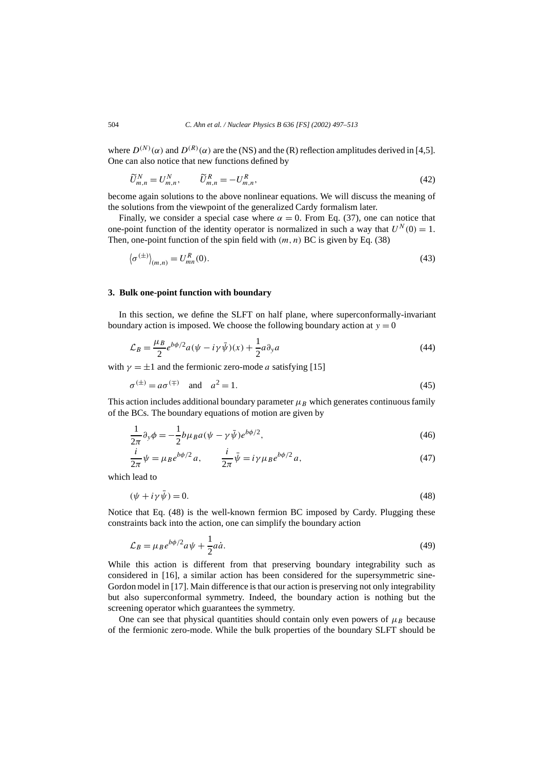where  $D^{(N)}(\alpha)$  and  $D^{(R)}(\alpha)$  are the (NS) and the (R) reflection amplitudes derived in [4,5]. One can also notice that new functions defined by

$$
\widetilde{U}_{m,n}^N = U_{m,n}^N, \qquad \widetilde{U}_{m,n}^R = -U_{m,n}^R,\tag{42}
$$

become again solutions to the above nonlinear equations. We will discuss the meaning of the solutions from the viewpoint of the generalized Cardy formalism later.

Finally, we consider a special case where  $\alpha = 0$ . From Eq. (37), one can notice that one-point function of the identity operator is normalized in such a way that  $U^N(0) = 1$ . Then, one-point function of the spin field with  $(m, n)$  BC is given by Eq. (38) ally, we consider a special case where  $\alpha = 0$ . From Eq. (37), one can notice that<br>oint function of the identity operator is normalized in such a way that  $U^N(0) = 1$ .<br>one-point function of the spin field with  $(m, n)$  BC i

$$
\left\langle \sigma^{(\pm)} \right\rangle_{(m,n)} = U_{mn}^R(0). \tag{43}
$$

### **3. Bulk one-point function with boundary**

In this section, we define the SLFT on half plane, where superconformally-invariant boundary action is imposed. We choose the following boundary action at  $y = 0$ 

$$
\mathcal{L}_B = \frac{\mu_B}{2} e^{b\phi/2} a(\psi - i\gamma \bar{\psi})(x) + \frac{1}{2} a \partial_y a \tag{44}
$$

with  $\gamma = \pm 1$  and the fermionic zero-mode *a* satisfying [15]

$$
\sigma^{(\pm)} = a\sigma^{(\mp)} \quad \text{and} \quad a^2 = 1. \tag{45}
$$

This action includes additional boundary parameter  $\mu_B$  which generates continuous family of the BCs. The boundary equations of motion are given by

$$
\frac{1}{2\pi}\partial_y\phi = -\frac{1}{2}b\mu_B a(\psi - \gamma\bar{\psi})e^{b\phi/2},\tag{46}
$$

$$
\frac{i}{2\pi}\psi = \mu_B e^{b\phi/2} a, \qquad \frac{i}{2\pi}\bar{\psi} = i\gamma\mu_B e^{b\phi/2} a,\tag{47}
$$

which lead to

$$
(\psi + i\gamma\psi) = 0.\tag{48}
$$

Notice that Eq. (48) is the well-known fermion BC imposed by Cardy. Plugging these constraints back into the action, one can simplify the boundary action

$$
\mathcal{L}_B = \mu_B e^{b\phi/2} a\psi + \frac{1}{2} a\dot{a}.\tag{49}
$$

While this action is different from that preserving boundary integrability such as considered in [16], a similar action has been considered for the supersymmetric sine-Gordon model in [17]. Main difference is that our action is preserving not only integrability but also superconformal symmetry. Indeed, the boundary action is nothing but the screening operator which guarantees the symmetry.

One can see that physical quantities should contain only even powers of  $\mu_B$  because of the fermionic zero-mode. While the bulk properties of the boundary SLFT should be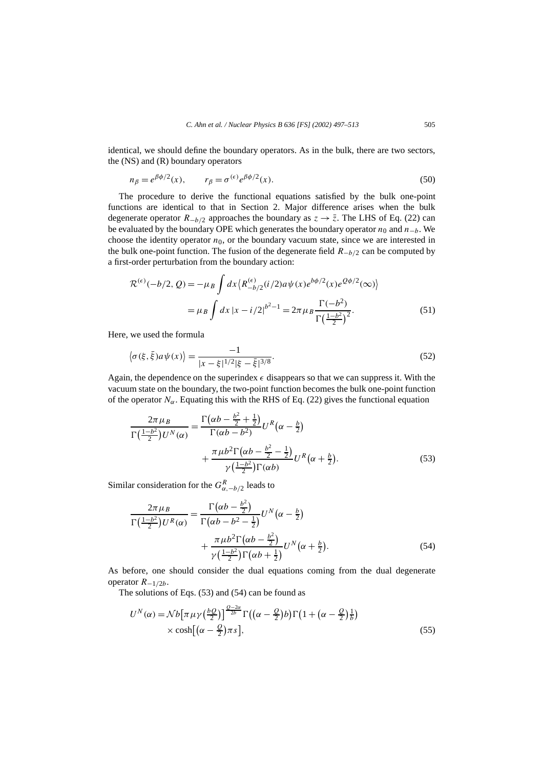identical, we should define the boundary operators. As in the bulk, there are two sectors, the (NS) and (R) boundary operators

$$
n_{\beta} = e^{\beta \phi/2}(x), \qquad r_{\beta} = \sigma^{(\epsilon)} e^{\beta \phi/2}(x). \tag{50}
$$

The procedure to derive the functional equations satisfied by the bulk one-point functions are identical to that in Section 2. Major difference arises when the bulk degenerate operator  $R$ <sup>−</sup>*b*/2 approaches the boundary as  $z \rightarrow \overline{z}$ . The LHS of Eq. (22) can be evaluated by the boundary OPE which generates the boundary operator *n*<sup>0</sup> and *n*−*b*. We choose the identity operator  $n_0$ , or the boundary vacuum state, since we are interested in the bulk one-point function. The fusion of the degenerate field *R*−*b/*<sup>2</sup> can be computed by a first-order perturbation from the boundary action: or u<br>fusi<br>e bo<br>*dx*  $\langle$ 

-order perturbation from the boundary action:  
\n
$$
\mathcal{R}^{(\epsilon)}(-b/2, Q) = -\mu_B \int dx \left\langle R_{-b/2}^{(\epsilon)}(i/2) a \psi(x) e^{b\phi/2}(x) e^{Q\phi/2}(\infty) \right\rangle
$$
\n
$$
= \mu_B \int dx \left| x - i/2 \right|^{b^2 - 1} = 2\pi \mu_B \frac{\Gamma(-b^2)}{\Gamma(\frac{1 - b^2}{2})^2}.
$$
\n(51)

Here, we used the formula

$$
-\mu_{B} \int dx \, |\dot{x} - i/2| = -2\pi \mu_{B} \sum_{\Gamma\left(\frac{1-b^{2}}{2}\right)^{2}}.\tag{51}
$$
\nwe used the formula\n
$$
\langle \sigma(\xi, \bar{\xi}) a \psi(x) \rangle = \frac{-1}{|x - \xi|^{1/2} |\xi - \bar{\xi}|^{3/8}}.\tag{52}
$$

Again, the dependence on the superindex  $\epsilon$  disappears so that we can suppress it. With the vacuum state on the boundary, the two-point function becomes the bulk one-point function<br>of the operator  $N_{\alpha}$ . Equating this with the RHS of Eq. (22) gives the functional equation<br> $\frac{2\pi \mu_B}{\sqrt{(1-\mu^2)(1-\mu^2)}} = \frac{\Gamma(\alpha b - \frac{$ of the operator  $N_{\alpha}$ . Equating this with the RHS of Eq. (22) gives the functional equation

$$
\frac{2\pi\mu_B}{\Gamma\left(\frac{1-b^2}{2}\right)U^N(\alpha)} = \frac{\Gamma\left(\alpha b - \frac{b^2}{2} + \frac{1}{2}\right)}{\Gamma(\alpha b - b^2)}U^R\left(\alpha - \frac{b}{2}\right) + \frac{\pi\mu b^2\Gamma\left(\alpha b - \frac{b^2}{2} - \frac{1}{2}\right)}{\gamma\left(\frac{1-b^2}{2}\right)\Gamma(\alpha b)}U^R\left(\alpha + \frac{b}{2}\right).
$$
\n(53)

Similar consideration for the  $G_{\alpha,-b/2}^R$  leads to

$$
\int \sqrt{2 \, \mu} \, d\omega
$$
\n
$$
\int \sqrt{2 \, \mu} \, d\omega
$$
\n
$$
\int \sqrt{2 \, \mu} \, d\omega
$$
\n
$$
\int \sqrt{2 \, \mu} \, d\omega
$$
\n
$$
\int \sqrt{2 \, \mu} \, d\omega
$$
\n
$$
\int \sqrt{2 \, \mu} \, d\omega
$$
\n
$$
\int \sqrt{2 \, \mu} \, d\omega
$$
\n
$$
\int \sqrt{2 \, \mu} \, d\omega
$$
\n
$$
\int \sqrt{2 \, \mu} \, d\omega
$$
\n
$$
\int \sqrt{2 \, \mu} \, d\omega
$$
\n
$$
\int \sqrt{2 \, \mu} \, d\omega
$$
\n
$$
\int \sqrt{2 \, \mu} \, d\omega
$$
\n
$$
\int \sqrt{2 \, \mu} \, d\omega
$$
\n
$$
\int \sqrt{2 \, \mu} \, d\omega
$$
\n
$$
\int \sqrt{2 \, \mu} \, d\omega
$$
\n
$$
\int \sqrt{2 \, \mu} \, d\omega
$$
\n
$$
\int \sqrt{2 \, \mu} \, d\omega
$$
\n
$$
\int \sqrt{2 \, \mu} \, d\omega
$$
\n
$$
\int \sqrt{2 \, \mu} \, d\omega
$$
\n
$$
\int \sqrt{2 \, \mu} \, d\omega
$$
\n
$$
\int \sqrt{2 \, \mu} \, d\omega
$$
\n
$$
\int \sqrt{2 \, \mu} \, d\omega
$$
\n
$$
\int \sqrt{2 \, \mu} \, d\omega
$$
\n
$$
\int \sqrt{2 \, \mu} \, d\omega
$$
\n
$$
\int \sqrt{2 \, \mu} \, d\omega
$$
\n
$$
\int \sqrt{2 \, \mu} \, d\omega
$$
\n
$$
\int \sqrt{2 \, \mu} \, d\omega
$$
\n
$$
\int \sqrt{2 \, \mu} \, d\omega
$$
\n
$$
\int \sqrt{2 \, \mu} \, d\omega
$$
\n
$$
\int \sqrt{2 \, \mu} \, d\omega
$$
\n
$$
\int \sqrt{2 \, \mu
$$

As before, one should consider the dual equations coming from the dual degenerate<br>operator  $R_{-1/2b}$ .<br>The solutions of Eqs. (53) and (54) can be found as<br> $U^N(\alpha) = Nb[\pi \mu \gamma (\frac{bQ}{2})]^{\frac{Q-2\alpha}{2b}} \Gamma((\alpha - \frac{Q}{2})b) \Gamma(1 + (\alpha - \frac{Q}{2})$ operator *R*−1*/*2*b*. *n*ia co<br><sup>}</sup><br>πμγ (

The solutions of Eqs. (53) and (54) can be found as

e solutions of Eqs. (53) and (54) can be found as  
\n
$$
U^N(\alpha) = \mathcal{N}b[\pi \mu \gamma (\frac{bQ}{2})]^{\frac{Q-2\alpha}{2b}}\Gamma((\alpha - \frac{Q}{2})b)\Gamma(1 + (\alpha - \frac{Q}{2})\frac{1}{b})
$$
\n
$$
\times \cosh[(\alpha - \frac{Q}{2})\pi s],
$$
\n(55)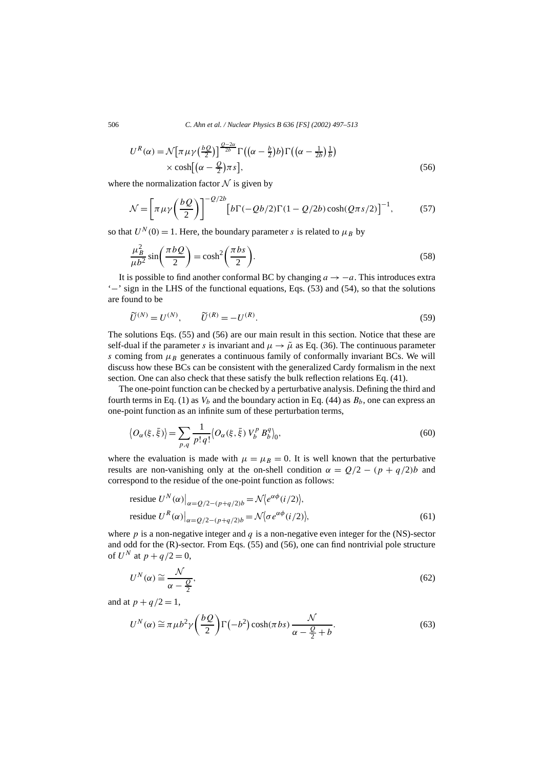506 *C. Ahn et al. / Nuclear Physics B 636 [FS] (2002) 497–513*

*C. Ahn et al. / Nuclear Physics B 636 [FS] (2002) 497–513*  
\n
$$
U^{R}(\alpha) = \mathcal{N} \Big[ \pi \mu \gamma \Big( \frac{bQ}{2} \Big) \Big]^{Q-2\alpha \over 2b} \Gamma \Big( \big( \alpha - \frac{b}{2} \big) b \Big) \Gamma \Big( \big( \alpha - \frac{1}{2b} \big) \frac{1}{b} \Big)
$$
\n
$$
\times \cosh \Big[ \big( \alpha - \frac{Q}{2} \big) \pi s \Big],
$$
\n
$$
\text{the normalization factor } \mathcal{N} \text{ is given by}
$$
\n
$$
\mathcal{N} = \Big[ \pi \mu \gamma \Big( \frac{bQ}{\alpha} \Big) \Big]^{-Q/2b} \Big[ b \Gamma \Big( -Qb/2 \Big) \Gamma \Big( 1 - Q/2b \Big) \cosh(Q\pi s/2) \Big]^{-1}, \tag{57}
$$

where the normalization factor  $N$  is given by

$$
\times \cosh[(\alpha - \frac{Q}{2})\pi s],
$$
\n
$$
\text{the normalization factor } \mathcal{N} \text{ is given by}
$$
\n
$$
\mathcal{N} = \left[\pi \mu \gamma \left(\frac{bQ}{2}\right)\right]^{-Q/2b} \left[b\Gamma(-Qb/2)\Gamma(1 - Q/2b)\cosh(Q\pi s/2)\right]^{-1},
$$
\n(57)

so that  $U^N(0) = 1$ . Here, the boundary parameter *s* is related to  $\mu_B$  by

$$
N = \left[ \pi \mu \gamma \left( \frac{-\gamma}{2} \right) \right] \qquad [b\Gamma(-Qb/2)\Gamma(1 - Q/2b)\cosh(Q\pi s/2)] \quad , \tag{57}
$$
  
at  $U^N(0) = 1$ . Here, the boundary parameter *s* is related to  $\mu_B$  by  

$$
\frac{\mu_B^2}{\mu b^2} \sin\left(\frac{\pi bQ}{2}\right) = \cosh^2\left(\frac{\pi bs}{2}\right).
$$
 (58)

It is possible to find another conformal BC by changing  $a \rightarrow -a$ . This introduces extra  $\text{``-}'$  sign in the LHS of the functional equations, Eqs. (53) and (54), so that the solutions are found to be

$$
\widetilde{U}^{(N)} = U^{(N)}, \qquad \widetilde{U}^{(R)} = -U^{(R)}.
$$
\n
$$
(59)
$$

The solutions Eqs. (55) and (56) are our main result in this section. Notice that these are self-dual if the parameter *s* is invariant and  $\mu \rightarrow \tilde{\mu}$  as Eq. (36). The continuous parameter *s* coming from  $\mu_B$  generates a continuous family of conformally invariant BCs. We will discuss how these BCs can be consistent with the generalized Cardy formalism in the next section. One can also check that these satisfy the bulk reflection relations Eq. (41).

The one-point function can be checked by a perturbative analysis. Defining the third and fourth terms in Eq. (1) as  $V_b$  and the boundary action in Eq. (44) as  $B_b$ , one can express an one-point function as an infinite sum of these perturbation terms, e one-point function can be checked by a perturbative analysis. Defining the third and<br>terms in Eq. (1) as  $V_b$  and the boundary action in Eq. (44) as  $B_b$ , one can express an<br>oint function as an infinite sum of these per

$$
\langle O_{\alpha}(\xi, \bar{\xi}) \rangle = \sum_{p,q} \frac{1}{p! \, q!} \langle O_{\alpha}(\xi, \bar{\xi}) \, V_b^p \, B_b^q \rangle_0, \tag{60}
$$

where the evaluation is made with  $\mu = \mu_B = 0$ . It is well known that the perturbative results are non-vanishing only at the on-shell condition  $\alpha = Q/2 - (p + q/2)b$  and correspond to the residue of the one-point function as fo results are non-vanishing only at the on-shell condition  $\alpha = Q/2 - (p + q/2)b$  and

correspond to the residue of the one-point function as follows:  
\nresidue 
$$
U^N(\alpha)|_{\alpha = Q/2 - (p+q/2)b} = \mathcal{N}\langle e^{\alpha\phi}(i/2) \rangle
$$
,  
\nresidue  $U^R(\alpha)|_{\alpha = Q/2 - (p+q/2)b} = \mathcal{N}\langle \sigma e^{\alpha\phi}(i/2) \rangle$ , (61)

where  $p$  is a non-negative integer and  $q$  is a non-negative even integer for the (NS)-sector and odd for the (R)-sector. From Eqs. (55) and (56), one can find nontrivial pole structure of  $U^N$  at  $p + q/2 = 0$ ,

$$
U^N(\alpha) \cong \frac{\mathcal{N}}{\alpha - \frac{Q}{2}},\tag{62}
$$

and at  $p + q/2 = 1$ ,

$$
\alpha - \frac{Q}{2},
$$
  
\n
$$
p + q/2 = 1,
$$
  
\n
$$
U^N(\alpha) \cong \pi \mu b^2 \gamma \left(\frac{bQ}{2}\right) \Gamma(-b^2) \cosh(\pi bs) \frac{\mathcal{N}}{\alpha - \frac{Q}{2} + b}.
$$
\n(63)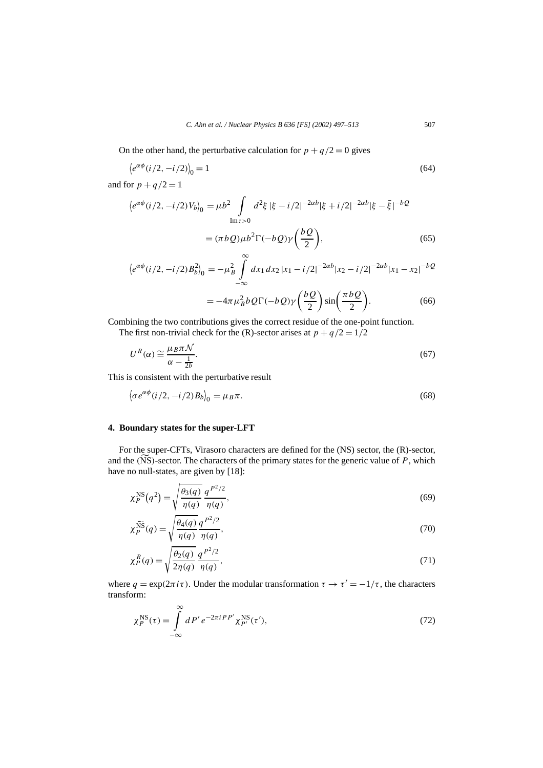On the other hand, the perturbative calculation for  $p + q/2 = 0$  gives

C. Ann *et al.* / Nuclear Physics B 636 [FS] (2002) 49/-513 50/  
\nn the other hand, the perturbative calculation for 
$$
p + q/2 = 0
$$
 gives  
\n
$$
\langle e^{\alpha \phi} (i/2, -i/2) \rangle_0 = 1
$$
\n(64)

and for  $p + q/2 = 1$ 

$$
\langle e^{\alpha \phi} (i/2, -i/2) V_b \rangle_0 = \mu b^2 \int_{\text{Im} z > 0} d^2 \xi |\xi - i/2|^{-2\alpha b} |\xi + i/2|^{-2\alpha b} |\xi - \bar{\xi}|^{-b} Q
$$

$$
= (\pi b Q) \mu b^2 \Gamma(-bQ) \gamma \left(\frac{bQ}{2}\right), \tag{65}
$$

$$
\langle e^{\alpha\phi}(i/2, -i/2)B_b^2 \rangle_0 = -\mu_B^2 \int_{-\infty}^{\infty} dx_1 dx_2 |x_1 - i/2|^{-2\alpha b} |x_2 - i/2|^{-2\alpha b} |x_1 - x_2|^{-b} Q
$$
  
= 
$$
-4\pi \mu_B^2 b Q \Gamma(-bQ) \gamma \left(\frac{bQ}{2}\right) \sin \left(\frac{\pi bQ}{2}\right).
$$
 (66)

$$
= -4\pi \mu_B^2 b Q \Gamma(-bQ) \gamma \left(\frac{bQ}{2}\right) \sin\left(\frac{\pi bQ}{2}\right). \tag{66}
$$

Combining the two contributions gives the correct residue of the one-point function.

The first non-trivial check for the (R)-sector arises at  $p + q/2 = 1/2$ 

$$
U^{R}(\alpha) \cong \frac{\mu_{B}\pi N}{\alpha - \frac{1}{2b}}.
$$
  
is consistent with the perturbative result  

$$
\langle \sigma e^{\alpha \phi} (i/2, -i/2) B_{b} \rangle_{0} = \mu_{B}\pi.
$$
 (68)

This is consistent with the perturbative result

$$
\left\langle \sigma e^{\alpha \phi} (i/2, -i/2) B_b \right\rangle_0 = \mu_B \pi. \tag{68}
$$

# **4. Boundary states for the super-LFT**

For the super-CFTs, Virasoro characters are defined for the (NS) sector, the (R)-sector, 4. Boundary states for the super-LFT<br>
For the super-CFTs, Virasoro characters are defined for the (NS) sector, the (R)-sector,<br>
and the (NS)-sector. The characters of the primary states for the generic value of *P*, which have no null-states, are given by [18]:

$$
\chi_P^{\rm NS}(q^2) = \sqrt{\frac{\theta_3(q)}{\eta(q)}} \, \frac{q^{P^2/2}}{\eta(q)},\tag{69}
$$

$$
\chi_P^{\widetilde{PS}}(q^*) = \sqrt{\frac{\eta(q)}{\eta(q)}} \frac{\eta(q)}{\eta(q)},
$$
\n
$$
\chi_P^{\widetilde{NS}}(q) = \sqrt{\frac{\theta_4(q)}{\eta(q)}} \frac{q^{P^2/2}}{\eta(q)},
$$
\n(70)

$$
\chi_P^R(q) = \sqrt{\frac{\theta_2(q)}{2\eta(q)}} \frac{q^{P^2/2}}{\eta(q)},
$$
\n(71)

where  $q = \exp(2\pi i \tau)$ . Under the modular transformation  $\tau \to \tau' = -1/\tau$ , the characters transform:

$$
\chi_P^{\rm NS}(\tau) = \int_{-\infty}^{\infty} dP' e^{-2\pi i P P'} \chi_{P'}^{\rm NS}(\tau'),\tag{72}
$$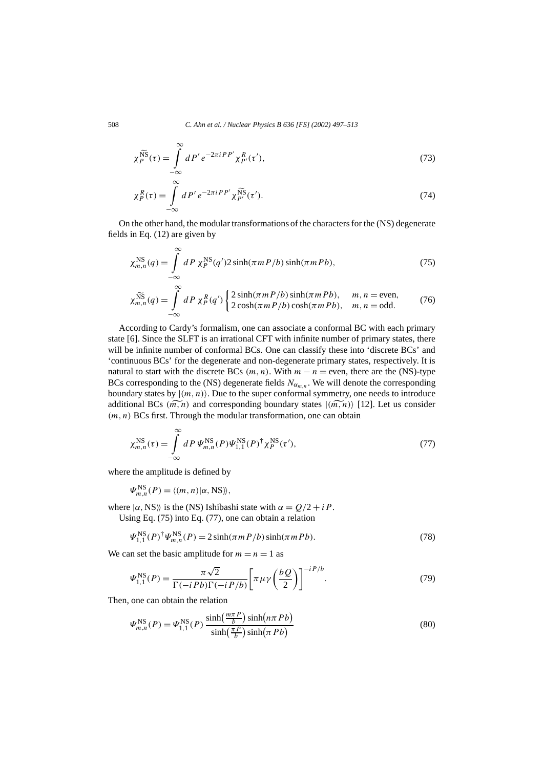$$
\chi_P^{\widetilde{NS}}(\tau) = \int_{-\infty}^{\infty} dP' e^{-2\pi i PP'} \chi_{P'}^R(\tau'),
$$
\n(73)

$$
\chi_P^R(\tau) = \int_{-\infty}^{\infty} dP' e^{-2\pi i PP'} \chi_{P'}^{\widetilde{NS}}(\tau'). \tag{74}
$$

On the other hand, the modular transformations of the characters for the (NS) degenerate fields in Eq. (12) are given by

$$
\chi_{m,n}^{\rm NS}(q) = \int\limits_{-\infty}^{\infty} dP \,\chi_P^{\rm NS}(q') 2 \sinh(\pi m P/b) \sinh(\pi m Pb),\tag{75}
$$

$$
\chi_{m,n}^{\widetilde{NS}}(q) = \int_{-\infty}^{\infty} dP \, \chi_P^R(q') \begin{cases} 2 \sinh(\pi m P/b) \sinh(\pi m P b), & m, n = \text{even}, \\ 2 \cosh(\pi m P/b) \cosh(\pi m P b), & m, n = \text{odd}. \end{cases} \tag{76}
$$

According to Cardy's formalism, one can associate a conformal BC with each primary state [6]. Since the SLFT is an irrational CFT with infinite number of primary states, there will be infinite number of conformal BCs. One can classify these into 'discrete BCs' and 'continuous BCs' for the degenerate and non-degenerate primary states, respectively. It is natural to start with the discrete BCs  $(m, n)$ . With  $m - n =$  even, there are the (NS)-type BCs corresponding to the (NS) degenerate fields  $N_{\alpha_{m,n}}$ . We will denote the corresponding boundary states by  $|(m, n)\rangle$ . Due to the super conformal symmetry, one needs to introduce natural to start with the discrete BCs  $(m, n)$ . With  $m - n =$  even, there are the (NS)-type BCs corresponding to the (NS) degenerate fields  $N_{\alpha_{m,n}}$ . We will denote the corresponding boundary states by  $|(m, n)\rangle$ . Due to the *(m, n)* BCs first. Through the modular transformation, one can obtain

$$
\chi_{m,n}^{\rm NS}(\tau) = \int\limits_{-\infty}^{\infty} dP \, \Psi_{m,n}^{\rm NS}(P) \Psi_{1,1}^{\rm NS}(P)^{\dagger} \chi_P^{\rm NS}(\tau'),\tag{77}
$$

where the amplitude is defined by

$$
\Psi_{m,n}^{\rm NS}(P) = \langle (m,n) | \alpha, \text{NS} \rangle \rangle,
$$

where  $|\alpha, NS\rangle$  is the (NS) Ishibashi state with  $\alpha = Q/2 + iP$ .

Using Eq. (75) into Eq. (77), one can obtain a relation

$$
\Psi_{1,1}^{\text{NS}}(P)^{\dagger} \Psi_{m,n}^{\text{NS}}(P) = 2 \sinh(\pi m P/b) \sinh(\pi m P b). \tag{78}
$$

We can set the basic amplitude for  $m = n = 1$  as

$$
\Psi_{1,1}^{NS}(P)^{\dagger} \Psi_{m,n}^{NS}(P) = 2 \sinh(\pi m P/b) \sinh(\pi m Pb). \tag{78}
$$
\n
$$
\text{In set the basic amplitude for } m = n = 1 \text{ as}
$$
\n
$$
\Psi_{1,1}^{NS}(P) = \frac{\pi \sqrt{2}}{\Gamma(-i Pb)\Gamma(-i Pb)} \left[ \pi \mu \gamma \left( \frac{b Q}{2} \right) \right]^{-i Pb} . \tag{79}
$$
\n
$$
\text{one can obtain the relation}
$$
\n
$$
N_{\text{max}}^{NS}(P) = N_{\text{max}}^{NS}(P) \frac{\sinh(\frac{m \pi P}{b})}{\sinh(n \pi Pb)} \tag{20}
$$

Then, one can obtain the relation

one can obtain the relation  
\n
$$
\Psi_{m,n}^{\text{NS}}(P) = \Psi_{1,1}^{\text{NS}}(P) \frac{\sinh(\frac{m\pi P}{b}) \sinh(n\pi Pb)}{\sinh(\frac{\pi P}{b}) \sinh(\pi Pb)}
$$
\n(80)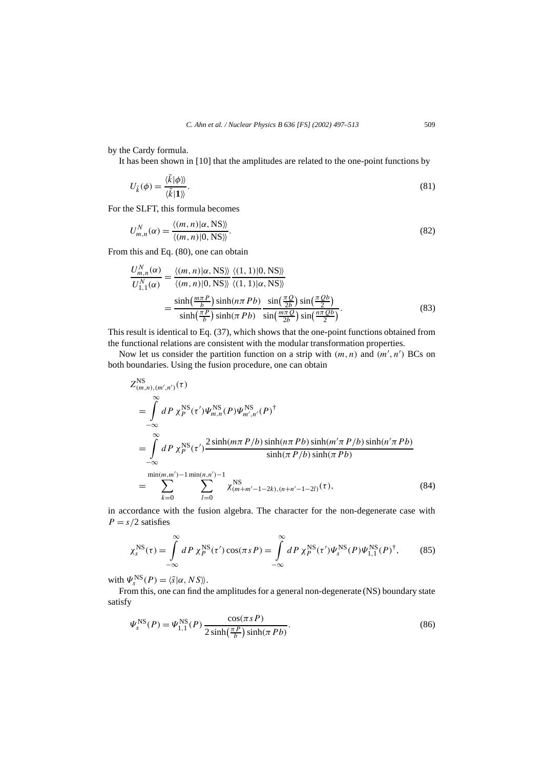by the Cardy formula.

It has been shown in [10] that the amplitudes are related to the one-point functions by

$$
U_{\vec{k}}(\phi) = \frac{\langle \vec{k} | \phi \rangle \rangle}{\langle \vec{k} | \mathbf{1} \rangle}.
$$
\n(81)

For the SLFT, this formula becomes

$$
U_{m,n}^{N}(\alpha) = \frac{\langle (m,n)|\alpha, \text{NS} \rangle}{\langle (m,n)|0, \text{NS} \rangle}.
$$
\n(82)

From this and Eq. (80), one can obtain

$$
\frac{U_{m,n}^{N}(\alpha)}{U_{1,1}^{N}(\alpha)} = \frac{\langle (m,n)|\alpha, \text{NS}\rangle \rangle \langle (1,1)|0, \text{NS}\rangle \rangle}{\langle (m,n)|0, \text{NS}\rangle \langle (1,1)|\alpha, \text{NS}\rangle \rangle} = \frac{\sinh(\frac{m\pi P}{b})\sinh(n\pi Pb)}{\sinh(\frac{\pi P}{b})\sinh(\pi Pb)}\frac{\sin(\frac{\pi Q}{2b})\sin(\frac{\pi Qb}{2})}{\sin(\frac{m\pi Q}{2b})\sin(\frac{n\pi Qb}{2})}.
$$
\n(83)

This result is identical to Eq. (37), which shows that the one-point functions obtained from the functional relations are consistent with the modular transformation properties.

Now let us consider the partition function on a strip with  $(m, n)$  and  $(m', n')$  BCs on both boundaries. Using the fusion procedure, one can obtain

$$
Z_{(m,n),(m',n')}^{NS}(\tau)
$$
\n
$$
= \int_{-\infty}^{\infty} dP \chi_P^{NS}(\tau') \Psi_{m,n}^{NS}(P) \Psi_{m',n'}^{NS}(P)^{\dagger}
$$
\n
$$
= \int_{-\infty}^{\infty} dP \chi_P^{NS}(\tau') \frac{2 \sinh(m\pi P/b) \sinh(n\pi Pb) \sinh(m'\pi P/b) \sinh(n'\pi Pb)}{\sinh(\pi Pb) \sinh(\pi Pb)}
$$
\n
$$
= \sum_{k=0}^{\min(m,m')-1} \sum_{l=0}^{\min(n,n')-1} \chi_{(m+m'-1-2k),(n+n'-1-2l)}^{NS}(\tau), \tag{84}
$$

in accordance with the fusion algebra. The character for the non-degenerate case with  $P = s/2$  satisfies

$$
\chi_s^{\rm NS}(\tau) = \int\limits_{-\infty}^{\infty} dP \,\chi_P^{\rm NS}(\tau') \cos(\pi s) = \int\limits_{-\infty}^{\infty} dP \,\chi_P^{\rm NS}(\tau') \Psi_s^{\rm NS}(P) \Psi_{1,1}^{\rm NS}(P)^\dagger, \tag{85}
$$

with  $\Psi_s^{\text{NS}}(P) = \langle \tilde{s} | \alpha, N S \rangle$ .

satisfy

From this, one can find the amplitudes for a general non-degenerate (NS) boundary state  
isfy  

$$
\Psi_s^{\text{NS}}(P) = \Psi_{1,1}^{\text{NS}}(P) \frac{\cos(\pi s P)}{2 \sinh(\frac{\pi P}{b}) \sinh(\pi Pb)}.
$$
(86)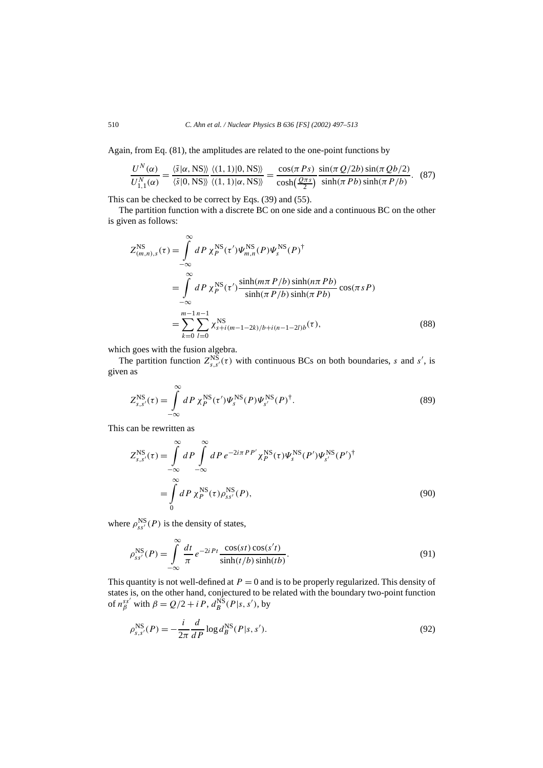Again, from Eq. (81), the amplitudes are related to the one-point functions by

1, from Eq. (81), the amplitudes are related to the one-point functions by  
\n
$$
\frac{U^N(\alpha)}{U_{1,1}^N(\alpha)} = \frac{\langle \tilde{s} | \alpha, \text{NS} \rangle \rangle \langle (1, 1) | 0, \text{NS} \rangle}{\langle \tilde{s} | 0, \text{NS} \rangle \rangle} = \frac{\cos(\pi Ps)}{\cosh(\frac{Q\pi s}{2})} \frac{\sin(\pi Q/2b) \sin(\pi Qb/2)}{\sinh(\pi Pb) \sinh(\pi P/b)}.
$$
\n(87)

This can be checked to be correct by Eqs. (39) and (55).

The partition function with a discrete BC on one side and a continuous BC on the other is given as follows:

$$
Z_{(m,n),s}^{\text{NS}}(\tau) = \int_{-\infty}^{\infty} dP \, \chi_P^{\text{NS}}(\tau') \Psi_{m,n}^{\text{NS}}(P) \Psi_s^{\text{NS}}(P)^{\dagger} \n= \int_{-\infty}^{\infty} dP \, \chi_P^{\text{NS}}(\tau') \frac{\sinh(m\pi \, P/b) \sinh(n\pi \, Pb)}{\sinh(\pi \, P/b) \sinh(\pi \, Pb)} \cos(\pi s \, P) \n= \sum_{k=0}^{m-1} \sum_{l=0}^{n-1} \chi_{s+i(m-1-2k)/b+i(n-1-2l)b}^{\text{NS}}(\tau),
$$
\n(88)

which goes with the fusion algebra.

The partition function  $Z_{s,s'}^{NS}(\tau)$  with continuous BCs on both boundaries, *s* and *s'*, is given as

$$
Z_{s,s'}^{\rm NS}(\tau) = \int\limits_{-\infty}^{\infty} dP \,\chi_P^{\rm NS}(\tau') \Psi_s^{\rm NS}(P) \Psi_{s'}^{\rm NS}(P)^{\dagger}.
$$
 (89)

This can be rewritten as

$$
\int_{-\infty}^{\infty}
$$
  
\n
$$
z_{s,s'}^{\text{NS}}(\tau) = \int_{-\infty}^{\infty} dP \int_{-\infty}^{\infty} dP e^{-2i\pi PP'} \chi_P^{\text{NS}}(\tau) \Psi_s^{\text{NS}}(P') \Psi_{s'}^{\text{NS}}(P')^{\dagger}
$$
  
\n
$$
= \int_{0}^{\infty} dP \chi_P^{\text{NS}}(\tau) \rho_{ss'}^{\text{NS}}(P), \tag{90}
$$

where  $\rho_{ss'}^{NS}(P)$  is the density of states,

$$
\rho_{ss'}^{\text{NS}}(P) = \int_{-\infty}^{\infty} \frac{dt}{\pi} e^{-2iPt} \frac{\cos(st)\cos(s't)}{\sinh(t/b)\sinh(tb)}.
$$
\n(91)

This quantity is not well-defined at  $P = 0$  and is to be properly regularized. This density of states is, on the other hand, conjectured to be related with the boundary two-point function of  $n_{\beta}^{ss'}$  with  $\beta = Q/2 + iP$ ,  $d_{B}^{\text{NS}}(P|s, s')$ , by

$$
\rho_{s,s'}^{\text{NS}}(P) = -\frac{i}{2\pi} \frac{d}{dP} \log d_B^{\text{NS}}(P|s,s'). \tag{92}
$$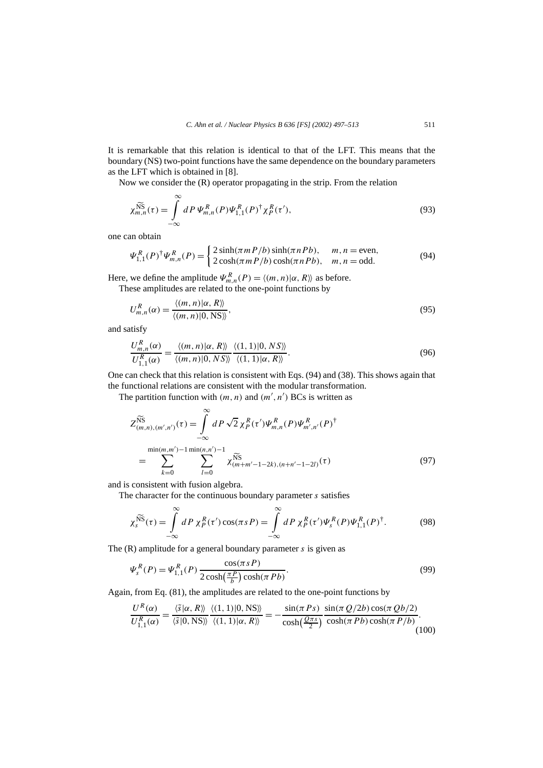It is remarkable that this relation is identical to that of the LFT. This means that the boundary (NS) two-point functions have the same dependence on the boundary parameters as the LFT which is obtained in [8].

Now we consider the (R) operator propagating in the strip. From the relation  
\n
$$
\chi_{m,n}^{\widetilde{NS}}(\tau) = \int_{-\infty}^{\infty} dP \, \Psi_{m,n}^{R}(P) \Psi_{1,1}^{R}(P)^{\dagger} \chi_{P}^{R}(\tau'), \tag{93}
$$

one can obtain

$$
\Psi_{1,1}^{R}(P)^{\dagger}\Psi_{m,n}^{R}(P) = \begin{cases} 2\sinh(\pi m P/b)\sinh(\pi n Pb), & m, n = \text{even}, \\ 2\cosh(\pi m P/b)\cosh(\pi n Pb), & m, n = \text{odd}. \end{cases}
$$
(94)

Here, we define the amplitude  $\Psi_{m,n}^R(P) = \langle (m,n) | \alpha, R \rangle$  as before.

These amplitudes are related to the one-point functions by

$$
U_{m,n}^{R}(\alpha) = \frac{\langle (m,n) | \alpha, R \rangle}{\langle (m,n) | 0, \text{NS} \rangle},\tag{95}
$$

and satisfy

$$
\frac{U_{m,n}^R(\alpha)}{U_{1,1}^R(\alpha)} = \frac{\langle (m,n) | \alpha, R \rangle \rangle}{\langle (m,n) | 0, NS \rangle \rangle} \frac{\langle (1,1) | 0, NS \rangle \rangle}{\langle (1,1) | \alpha, R \rangle \rangle}.
$$
(96)

One can check that this relation is consistent with Eqs. (94) and (38). This shows again that the functional relations are consistent with the modular transformation.

The partition function with 
$$
(m, n)
$$
 and  $(m', n')$  BCs is written as  
\n
$$
Z_{(m,n),(m',n')}^{NS}(\tau) = \int_{-\infty}^{\infty} dP \sqrt{2} \chi_P^R(\tau') \Psi_{m,n}^R(P) \Psi_{m',n'}^R(P)^{\dagger}
$$
\n
$$
= \sum_{k=0}^{\min(m,m')-1} \sum_{l=0}^{\min(n,n')-1} \chi_{(m+m'-1-2k),(n+n'-1-2l)}^{NS}(\tau)
$$
\n(97)

and is consistent with fusion algebra.

The character for the continuous boundary parameter *s* satisfies  
\n
$$
\chi_s^{\widetilde{NS}}(\tau) = \int_{-\infty}^{\infty} dP \chi_P^R(\tau') \cos(\pi s P) = \int_{-\infty}^{\infty} dP \chi_P^R(\tau') \Psi_s^R(P) \Psi_{1,1}^R(P)^{\dagger}.
$$
\n(98)

The (R) amplitude for a general boundary parameter *s* is given as

R) amplitude for a general boundary parameter *s* is given as  
\n
$$
\Psi_s^R(P) = \Psi_{1,1}^R(P) \frac{\cos(\pi s P)}{2 \cosh(\frac{\pi P}{b}) \cosh(\pi P b)}.
$$
\n(99)

Again, from Eq. (81), the amplitudes are related to the one-point functions by

$$
2 \cosh(\frac{b}{b}) \cosh(h \, h \, b)
$$
  
from Eq. (81), the amplitudes are related to the one-point functions by  

$$
\frac{U^R(\alpha)}{U_{1,1}^R(\alpha)} = \frac{\langle \tilde{s} | \alpha, R \rangle \rangle}{\langle \tilde{s} | 0, \text{NS} \rangle \rangle} \frac{\langle (1, 1) | 0, \text{NS} \rangle \rangle}{\langle (1, 1) | \alpha, R \rangle \rangle} = -\frac{\sin(\pi \, P \, s)}{\cosh(\frac{Q \pi s}{2})} \frac{\sin(\pi \, Q/2b) \cos(\pi \, Qb/2)}{\cosh(\pi \, Pb) \cosh(\pi \, P/b)}.
$$
(100)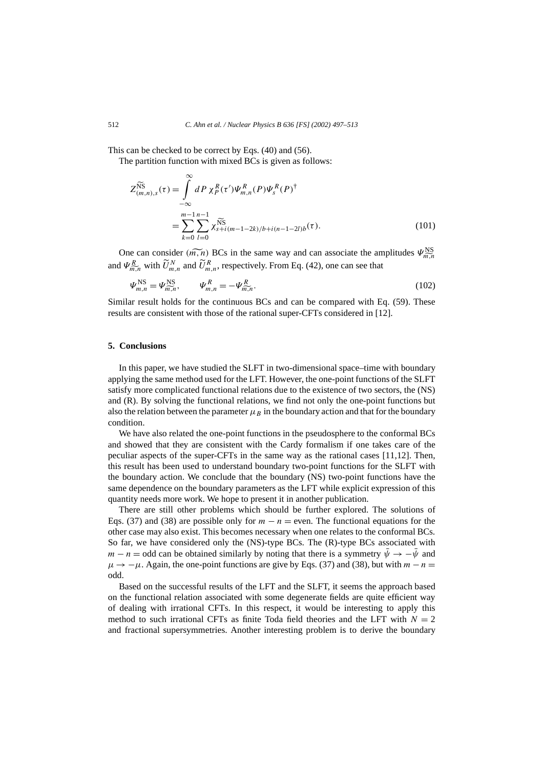This can be checked to be correct by Eqs. (40) and (56).

The partition function with mixed BCs is given as follows:  
\n
$$
Z_{(m,n),s}^{\widetilde{NS}}(\tau) = \int_{-\infty}^{\infty} dP \chi_P^R(\tau') \Psi_{m,n}^R(P) \Psi_s^R(P)^{\dagger}
$$
\n
$$
= \sum_{k=0}^{m-1} \sum_{l=0}^{n-1} \chi_{s+i(m-1-2k)/b+i(n-1-2l)b}^{\widetilde{NS}}(\tau). \tag{101}
$$
\nOne can consider  $(\widetilde{m,n})$  BCs in the same way and can associate the amplitudes  $\Psi_{\widetilde{m,n}}^{\widetilde{NS}}$ 

One can consider  $(m, n)$  BCs in the same way and can associate the am<br>and  $\Psi_{m,n}^R$  with  $\tilde{U}_{m,n}^N$  and  $\tilde{U}_{m,n}^R$ , respectively. From Eq. (42), one can see that<br> $\Psi_{m,n}^{\text{NS}} = \Psi_{m,n}^{\text{NS}}, \qquad \Psi_{m,n}^R = -\Psi_{m,n}^R.$ 

$$
\Psi_{m,n}^{\rm NS} = \Psi_{m,n}^{\rm NS}, \qquad \Psi_{m,n}^R = -\Psi_{m,n}^R. \tag{102}
$$

Similar result holds for the continuous BCs and can be compared with Eq. (59). These results are consistent with those of the rational super-CFTs considered in [12].

#### **5. Conclusions**

In this paper, we have studied the SLFT in two-dimensional space–time with boundary applying the same method used for the LFT. However, the one-point functions of the SLFT satisfy more complicated functional relations due to the existence of two sectors, the (NS) and (R). By solving the functional relations, we find not only the one-point functions but also the relation between the parameter  $\mu_B$  in the boundary action and that for the boundary condition.

We have also related the one-point functions in the pseudosphere to the conformal BCs and showed that they are consistent with the Cardy formalism if one takes care of the peculiar aspects of the super-CFTs in the same way as the rational cases [11,12]. Then, this result has been used to understand boundary two-point functions for the SLFT with the boundary action. We conclude that the boundary (NS) two-point functions have the same dependence on the boundary parameters as the LFT while explicit expression of this quantity needs more work. We hope to present it in another publication.

There are still other problems which should be further explored. The solutions of Eqs. (37) and (38) are possible only for  $m - n =$  even. The functional equations for the other case may also exist. This becomes necessary when one relates to the conformal BCs. So far, we have considered only the (NS)-type BCs. The (R)-type BCs associated with *m* − *n* = odd can be obtained similarly by noting that there is a symmetry  $\bar{\psi} \rightarrow -\bar{\psi}$  and  $\mu \rightarrow -\mu$ . Again, the one-point functions are give by Eqs. (37) and (38), but with *m* − *n* = odd.

Based on the successful results of the LFT and the SLFT, it seems the approach based on the functional relation associated with some degenerate fields are quite efficient way of dealing with irrational CFTs. In this respect, it would be interesting to apply this method to such irrational CFTs as finite Toda field theories and the LFT with  $N = 2$ and fractional supersymmetries. Another interesting problem is to derive the boundary